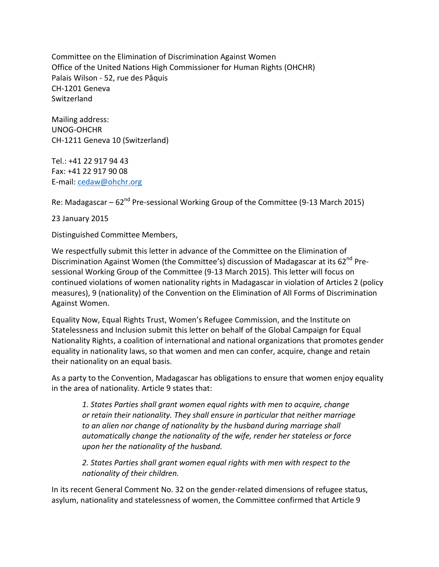Committee on the Elimination of Discrimination Against Women Office of the United Nations High Commissioner for Human Rights (OHCHR) Palais Wilson - 52, rue des Pâquis CH-1201 Geneva Switzerland

Mailing address: UNOG-OHCHR CH-1211 Geneva 10 (Switzerland)

Tel.: +41 22 917 94 43 Fax: +41 22 917 90 08 E-mail: [cedaw@ohchr.org](mailto:cedaw@ohchr.org)

Re: Madagascar –  $62<sup>nd</sup>$  Pre-sessional Working Group of the Committee (9-13 March 2015)

23 January 2015

Distinguished Committee Members,

We respectfully submit this letter in advance of the Committee on the Elimination of Discrimination Against Women (the Committee's) discussion of Madagascar at its  $62^{nd}$  Presessional Working Group of the Committee (9-13 March 2015). This letter will focus on continued violations of women nationality rights in Madagascar in violation of Articles 2 (policy measures), 9 (nationality) of the Convention on the Elimination of All Forms of Discrimination Against Women.

Equality Now, Equal Rights Trust, Women's Refugee Commission, and the Institute on Statelessness and Inclusion submit this letter on behalf of the Global Campaign for Equal Nationality Rights, a coalition of international and national organizations that promotes gender equality in nationality laws, so that women and men can confer, acquire, change and retain their nationality on an equal basis.

As a party to the Convention, Madagascar has obligations to ensure that women enjoy equality in the area of nationality. Article 9 states that:

*1. States Parties shall grant women equal rights with men to acquire, change or retain their nationality. They shall ensure in particular that neither marriage to an alien nor change of nationality by the husband during marriage shall automatically change the nationality of the wife, render her stateless or force upon her the nationality of the husband.*

*2. States Parties shall grant women equal rights with men with respect to the nationality of their children.*

In its recent General Comment No. 32 on the gender-related dimensions of refugee status, asylum, nationality and statelessness of women, the Committee confirmed that Article 9